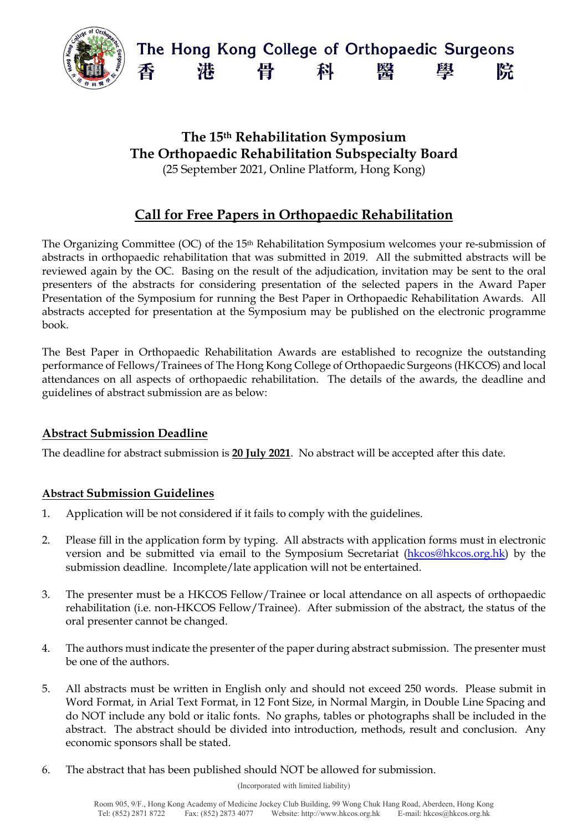

## **The 15th Rehabilitation Symposium The Orthopaedic Rehabilitation Subspecialty Board** (25 September 2021, Online Platform, Hong Kong)

# **Call for Free Papers in Orthopaedic Rehabilitation**

The Organizing Committee (OC) of the 15th Rehabilitation Symposium welcomes your re-submission of abstracts in orthopaedic rehabilitation that was submitted in 2019. All the submitted abstracts will be reviewed again by the OC. Basing on the result of the adjudication, invitation may be sent to the oral presenters of the abstracts for considering presentation of the selected papers in the Award Paper Presentation of the Symposium for running the Best Paper in Orthopaedic Rehabilitation Awards. All abstracts accepted for presentation at the Symposium may be published on the electronic programme book.

The Best Paper in Orthopaedic Rehabilitation Awards are established to recognize the outstanding performance of Fellows/Trainees of The Hong Kong College of Orthopaedic Surgeons (HKCOS) and local attendances on all aspects of orthopaedic rehabilitation. The details of the awards, the deadline and guidelines of abstract submission are as below:

### **Abstract Submission Deadline**

The deadline for abstract submission is **20 July 2021**. No abstract will be accepted after this date.

#### **Abstract Submission Guidelines**

- 1. Application will be not considered if it fails to comply with the guidelines.
- 2. Please fill in the application form by typing. All abstracts with application forms must in electronic version and be submitted via email to the Symposium Secretariat [\(hkcos@hkcos.org.hk\)](mailto:hkcos@hkcos.org.hk) by the submission deadline. Incomplete/late application will not be entertained.
- 3. The presenter must be a HKCOS Fellow/Trainee or local attendance on all aspects of orthopaedic rehabilitation (i.e. non-HKCOS Fellow/Trainee). After submission of the abstract, the status of the oral presenter cannot be changed.
- 4. The authors must indicate the presenter of the paper during abstract submission. The presenter must be one of the authors.
- 5. All abstracts must be written in English only and should not exceed 250 words. Please submit in Word Format, in Arial Text Format, in 12 Font Size, in Normal Margin, in Double Line Spacing and do NOT include any bold or italic fonts. No graphs, tables or photographs shall be included in the abstract. The abstract should be divided into introduction, methods, result and conclusion. Any economic sponsors shall be stated.
- 6. The abstract that has been published should NOT be allowed for submission.